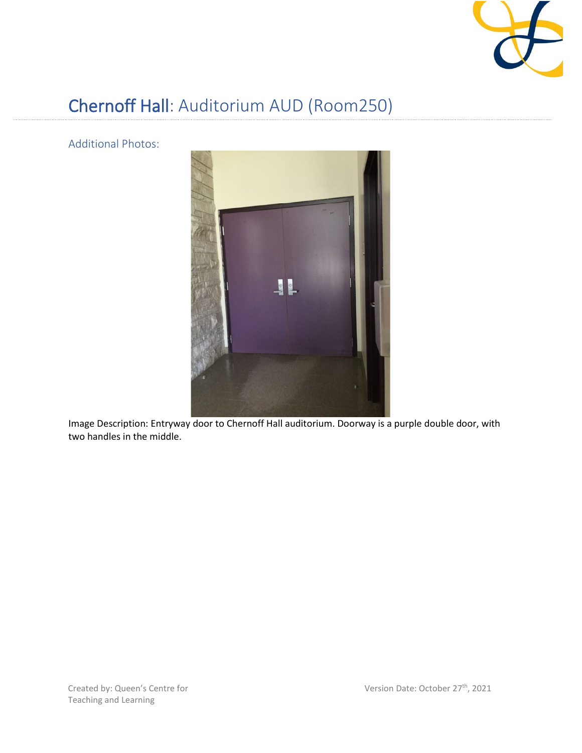

## Chernoff Hall: Auditorium AUD (Room250)

Additional Photos:



Image Description: Entryway door to Chernoff Hall auditorium. Doorway is a purple double door, with two handles in the middle.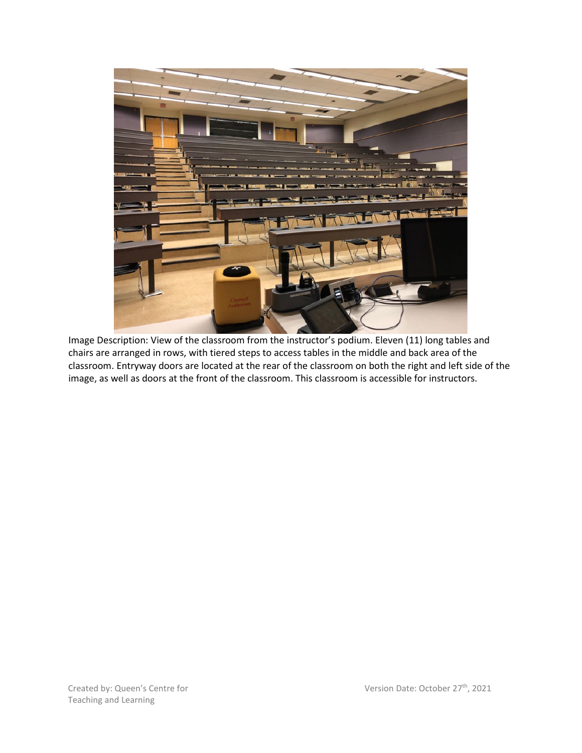

Image Description: View of the classroom from the instructor's podium. Eleven (11) long tables and chairs are arranged in rows, with tiered steps to access tables in the middle and back area of the classroom. Entryway doors are located at the rear of the classroom on both the right and left side of the image, as well as doors at the front of the classroom. This classroom is accessible for instructors.